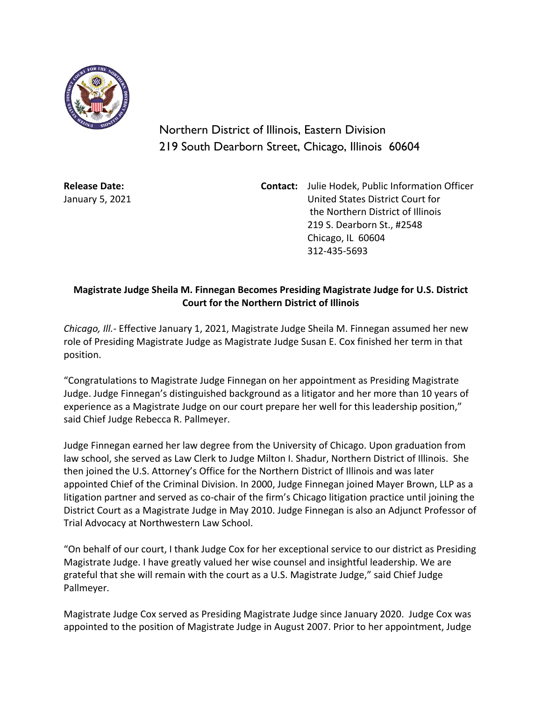

Northern District of Illinois, Eastern Division 219 South Dearborn Street, Chicago, Illinois 60604

**Release Date:** January 5, 2021 **Contact:** Julie Hodek, Public Information Officer United States District Court for the Northern District of Illinois 219 S. Dearborn St., #2548 Chicago, IL 60604 312-435-5693

## **Magistrate Judge Sheila M. Finnegan Becomes Presiding Magistrate Judge for U.S. District Court for the Northern District of Illinois**

*Chicago, Ill.-* Effective January 1, 2021, Magistrate Judge Sheila M. Finnegan assumed her new role of Presiding Magistrate Judge as Magistrate Judge Susan E. Cox finished her term in that position.

"Congratulations to Magistrate Judge Finnegan on her appointment as Presiding Magistrate Judge. Judge Finnegan's distinguished background as a litigator and her more than 10 years of experience as a Magistrate Judge on our court prepare her well for this leadership position," said Chief Judge Rebecca R. Pallmeyer.

Judge Finnegan earned her law degree from the University of Chicago. Upon graduation from law school, she served as Law Clerk to Judge Milton I. Shadur, Northern District of Illinois. She then joined the U.S. Attorney's Office for the Northern District of Illinois and was later appointed Chief of the Criminal Division. In 2000, Judge Finnegan joined Mayer Brown, LLP as a litigation partner and served as co-chair of the firm's Chicago litigation practice until joining the District Court as a Magistrate Judge in May 2010. Judge Finnegan is also an Adjunct Professor of Trial Advocacy at Northwestern Law School.

"On behalf of our court, I thank Judge Cox for her exceptional service to our district as Presiding Magistrate Judge. I have greatly valued her wise counsel and insightful leadership. We are grateful that she will remain with the court as a U.S. Magistrate Judge," said Chief Judge Pallmeyer.

Magistrate Judge Cox served as Presiding Magistrate Judge since January 2020. Judge Cox was appointed to the position of Magistrate Judge in August 2007. Prior to her appointment, Judge